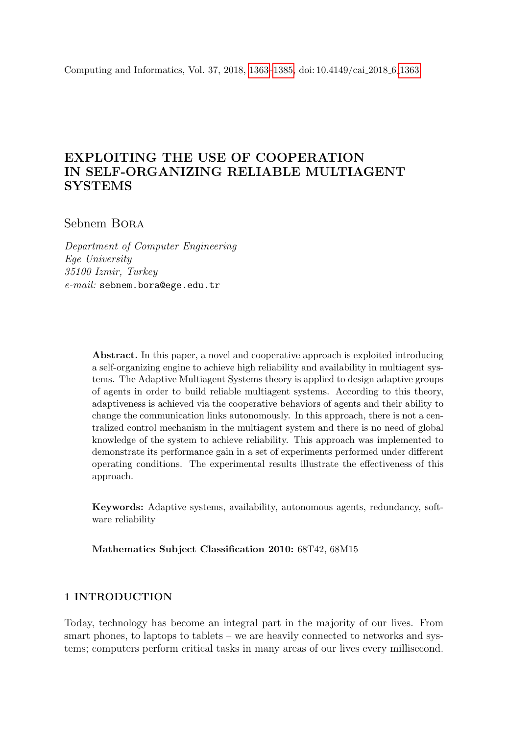<span id="page-0-0"></span>Computing and Informatics, Vol. 37, 2018, [1363–](#page-0-0)[1385,](#page-18-0) doi: 10.4149/cai 2018 6 [1363](#page-0-0)

# EXPLOITING THE USE OF COOPERATION IN SELF-ORGANIZING RELIABLE MULTIAGENT **SYSTEMS**

## Sebnem Bora

Department of Computer Engineering Ege University 35100 Izmir, Turkey e-mail: sebnem.bora@ege.edu.tr

> Abstract. In this paper, a novel and cooperative approach is exploited introducing a self-organizing engine to achieve high reliability and availability in multiagent systems. The Adaptive Multiagent Systems theory is applied to design adaptive groups of agents in order to build reliable multiagent systems. According to this theory, adaptiveness is achieved via the cooperative behaviors of agents and their ability to change the communication links autonomously. In this approach, there is not a centralized control mechanism in the multiagent system and there is no need of global knowledge of the system to achieve reliability. This approach was implemented to demonstrate its performance gain in a set of experiments performed under different operating conditions. The experimental results illustrate the effectiveness of this approach.

> Keywords: Adaptive systems, availability, autonomous agents, redundancy, software reliability

Mathematics Subject Classification 2010: 68T42, 68M15

## 1 INTRODUCTION

Today, technology has become an integral part in the majority of our lives. From smart phones, to laptops to tablets – we are heavily connected to networks and systems; computers perform critical tasks in many areas of our lives every millisecond.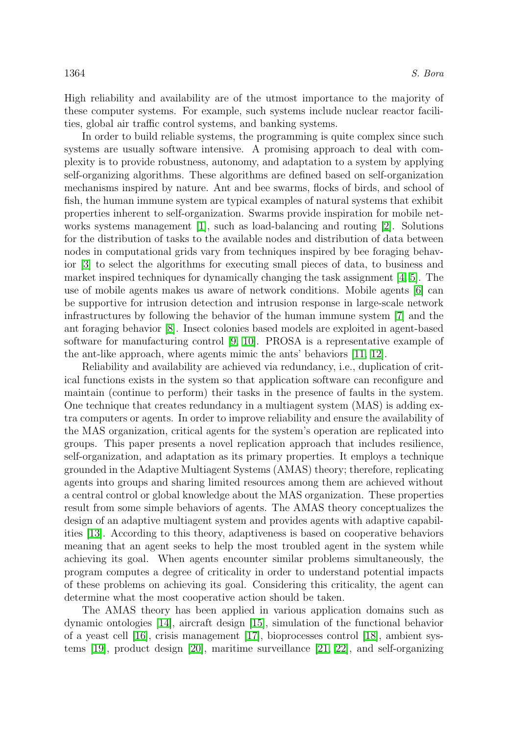High reliability and availability are of the utmost importance to the majority of these computer systems. For example, such systems include nuclear reactor facilities, global air traffic control systems, and banking systems.

In order to build reliable systems, the programming is quite complex since such systems are usually software intensive. A promising approach to deal with complexity is to provide robustness, autonomy, and adaptation to a system by applying self-organizing algorithms. These algorithms are defined based on self-organization mechanisms inspired by nature. Ant and bee swarms, flocks of birds, and school of fish, the human immune system are typical examples of natural systems that exhibit properties inherent to self-organization. Swarms provide inspiration for mobile networks systems management [\[1\]](#page-18-1), such as load-balancing and routing [\[2\]](#page-18-2). Solutions for the distribution of tasks to the available nodes and distribution of data between nodes in computational grids vary from techniques inspired by bee foraging behavior [\[3\]](#page-18-3) to select the algorithms for executing small pieces of data, to business and market inspired techniques for dynamically changing the task assignment [\[4,](#page-18-4) [5\]](#page-19-0). The use of mobile agents makes us aware of network conditions. Mobile agents [\[6\]](#page-19-1) can be supportive for intrusion detection and intrusion response in large-scale network infrastructures by following the behavior of the human immune system [\[7\]](#page-19-2) and the ant foraging behavior [\[8\]](#page-19-3). Insect colonies based models are exploited in agent-based software for manufacturing control [\[9,](#page-19-4) [10\]](#page-19-5). PROSA is a representative example of the ant-like approach, where agents mimic the ants' behaviors [\[11,](#page-19-6) [12\]](#page-19-7).

Reliability and availability are achieved via redundancy, i.e., duplication of critical functions exists in the system so that application software can reconfigure and maintain (continue to perform) their tasks in the presence of faults in the system. One technique that creates redundancy in a multiagent system (MAS) is adding extra computers or agents. In order to improve reliability and ensure the availability of the MAS organization, critical agents for the system's operation are replicated into groups. This paper presents a novel replication approach that includes resilience, self-organization, and adaptation as its primary properties. It employs a technique grounded in the Adaptive Multiagent Systems (AMAS) theory; therefore, replicating agents into groups and sharing limited resources among them are achieved without a central control or global knowledge about the MAS organization. These properties result from some simple behaviors of agents. The AMAS theory conceptualizes the design of an adaptive multiagent system and provides agents with adaptive capabilities [\[13\]](#page-19-8). According to this theory, adaptiveness is based on cooperative behaviors meaning that an agent seeks to help the most troubled agent in the system while achieving its goal. When agents encounter similar problems simultaneously, the program computes a degree of criticality in order to understand potential impacts of these problems on achieving its goal. Considering this criticality, the agent can determine what the most cooperative action should be taken.

The AMAS theory has been applied in various application domains such as dynamic ontologies [\[14\]](#page-19-9), aircraft design [\[15\]](#page-20-0), simulation of the functional behavior of a yeast cell [\[16\]](#page-20-1), crisis management [\[17\]](#page-20-2), bioprocesses control [\[18\]](#page-20-3), ambient systems [\[19\]](#page-20-4), product design [\[20\]](#page-20-5), maritime surveillance [\[21,](#page-20-6) [22\]](#page-20-7), and self-organizing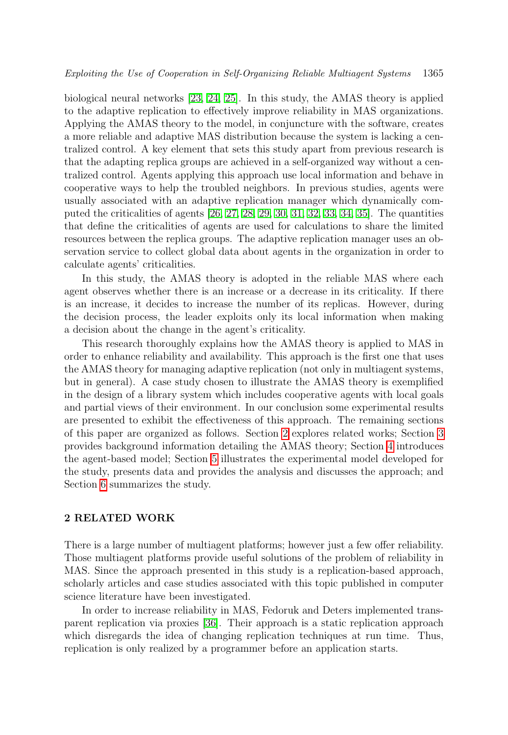biological neural networks [\[23,](#page-20-8) [24,](#page-20-9) [25\]](#page-21-0). In this study, the AMAS theory is applied to the adaptive replication to effectively improve reliability in MAS organizations. Applying the AMAS theory to the model, in conjuncture with the software, creates a more reliable and adaptive MAS distribution because the system is lacking a centralized control. A key element that sets this study apart from previous research is that the adapting replica groups are achieved in a self-organized way without a centralized control. Agents applying this approach use local information and behave in cooperative ways to help the troubled neighbors. In previous studies, agents were usually associated with an adaptive replication manager which dynamically computed the criticalities of agents [\[26,](#page-21-1) [27,](#page-21-2) [28,](#page-21-3) [29,](#page-21-4) [30,](#page-21-5) [31,](#page-21-6) [32,](#page-21-7) [33,](#page-21-8) [34,](#page-21-9) [35\]](#page-21-10). The quantities that define the criticalities of agents are used for calculations to share the limited resources between the replica groups. The adaptive replication manager uses an observation service to collect global data about agents in the organization in order to calculate agents' criticalities.

In this study, the AMAS theory is adopted in the reliable MAS where each agent observes whether there is an increase or a decrease in its criticality. If there is an increase, it decides to increase the number of its replicas. However, during the decision process, the leader exploits only its local information when making a decision about the change in the agent's criticality.

This research thoroughly explains how the AMAS theory is applied to MAS in order to enhance reliability and availability. This approach is the first one that uses the AMAS theory for managing adaptive replication (not only in multiagent systems, but in general). A case study chosen to illustrate the AMAS theory is exemplified in the design of a library system which includes cooperative agents with local goals and partial views of their environment. In our conclusion some experimental results are presented to exhibit the effectiveness of this approach. The remaining sections of this paper are organized as follows. Section [2](#page-2-0) explores related works; Section [3](#page-3-0) provides background information detailing the AMAS theory; Section [4](#page-4-0) introduces the agent-based model; Section [5](#page-12-0) illustrates the experimental model developed for the study, presents data and provides the analysis and discusses the approach; and Section [6](#page-18-0) summarizes the study.

#### <span id="page-2-0"></span>2 RELATED WORK

There is a large number of multiagent platforms; however just a few offer reliability. Those multiagent platforms provide useful solutions of the problem of reliability in MAS. Since the approach presented in this study is a replication-based approach, scholarly articles and case studies associated with this topic published in computer science literature have been investigated.

In order to increase reliability in MAS, Fedoruk and Deters implemented transparent replication via proxies [\[36\]](#page-22-0). Their approach is a static replication approach which disregards the idea of changing replication techniques at run time. Thus, replication is only realized by a programmer before an application starts.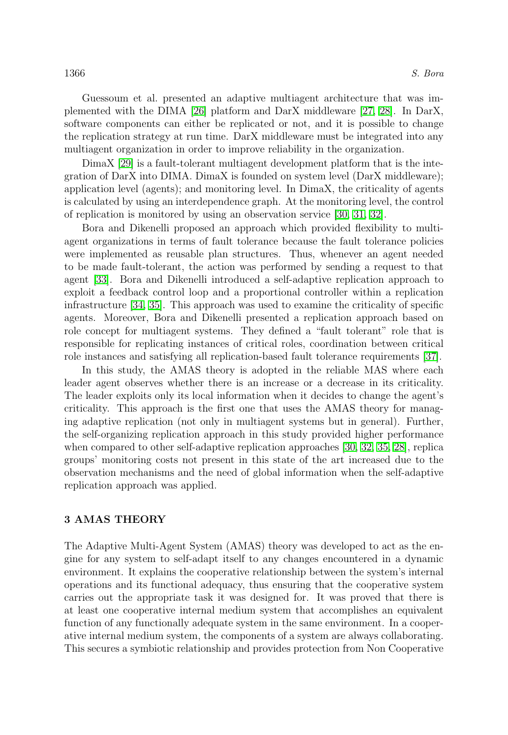Guessoum et al. presented an adaptive multiagent architecture that was implemented with the DIMA [\[26\]](#page-21-1) platform and DarX middleware [\[27,](#page-21-2) [28\]](#page-21-3). In DarX, software components can either be replicated or not, and it is possible to change the replication strategy at run time. DarX middleware must be integrated into any multiagent organization in order to improve reliability in the organization.

DimaX [\[29\]](#page-21-4) is a fault-tolerant multiagent development platform that is the integration of DarX into DIMA. DimaX is founded on system level (DarX middleware); application level (agents); and monitoring level. In DimaX, the criticality of agents is calculated by using an interdependence graph. At the monitoring level, the control of replication is monitored by using an observation service [\[30,](#page-21-5) [31,](#page-21-6) [32\]](#page-21-7).

Bora and Dikenelli proposed an approach which provided flexibility to multiagent organizations in terms of fault tolerance because the fault tolerance policies were implemented as reusable plan structures. Thus, whenever an agent needed to be made fault-tolerant, the action was performed by sending a request to that agent [\[33\]](#page-21-8). Bora and Dikenelli introduced a self-adaptive replication approach to exploit a feedback control loop and a proportional controller within a replication infrastructure [\[34,](#page-21-9) [35\]](#page-21-10). This approach was used to examine the criticality of specific agents. Moreover, Bora and Dikenelli presented a replication approach based on role concept for multiagent systems. They defined a "fault tolerant" role that is responsible for replicating instances of critical roles, coordination between critical role instances and satisfying all replication-based fault tolerance requirements [\[37\]](#page-22-1).

In this study, the AMAS theory is adopted in the reliable MAS where each leader agent observes whether there is an increase or a decrease in its criticality. The leader exploits only its local information when it decides to change the agent's criticality. This approach is the first one that uses the AMAS theory for managing adaptive replication (not only in multiagent systems but in general). Further, the self-organizing replication approach in this study provided higher performance when compared to other self-adaptive replication approaches [\[30,](#page-21-5) [32,](#page-21-7) [35,](#page-21-10) [28\]](#page-21-3), replica groups' monitoring costs not present in this state of the art increased due to the observation mechanisms and the need of global information when the self-adaptive replication approach was applied.

#### <span id="page-3-0"></span>3 AMAS THEORY

The Adaptive Multi-Agent System (AMAS) theory was developed to act as the engine for any system to self-adapt itself to any changes encountered in a dynamic environment. It explains the cooperative relationship between the system's internal operations and its functional adequacy, thus ensuring that the cooperative system carries out the appropriate task it was designed for. It was proved that there is at least one cooperative internal medium system that accomplishes an equivalent function of any functionally adequate system in the same environment. In a cooperative internal medium system, the components of a system are always collaborating. This secures a symbiotic relationship and provides protection from Non Cooperative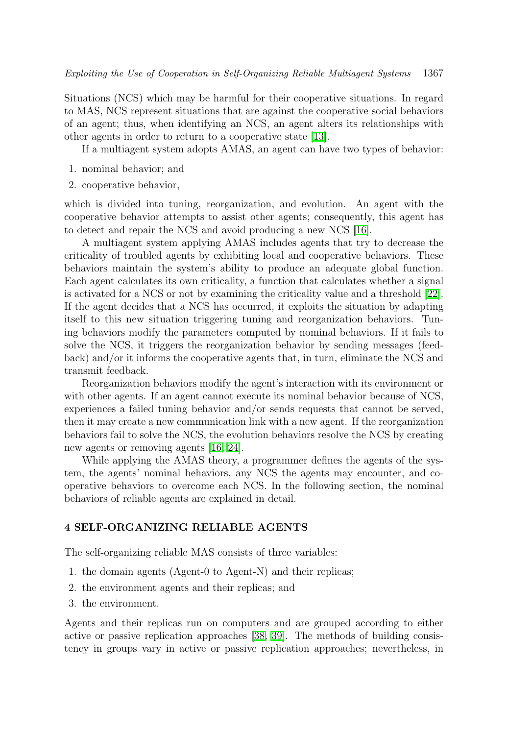Situations (NCS) which may be harmful for their cooperative situations. In regard to MAS, NCS represent situations that are against the cooperative social behaviors of an agent; thus, when identifying an NCS, an agent alters its relationships with other agents in order to return to a cooperative state [\[13\]](#page-19-8).

If a multiagent system adopts AMAS, an agent can have two types of behavior:

- 1. nominal behavior; and
- 2. cooperative behavior,

which is divided into tuning, reorganization, and evolution. An agent with the cooperative behavior attempts to assist other agents; consequently, this agent has to detect and repair the NCS and avoid producing a new NCS [\[16\]](#page-20-1).

A multiagent system applying AMAS includes agents that try to decrease the criticality of troubled agents by exhibiting local and cooperative behaviors. These behaviors maintain the system's ability to produce an adequate global function. Each agent calculates its own criticality, a function that calculates whether a signal is activated for a NCS or not by examining the criticality value and a threshold [\[22\]](#page-20-7). If the agent decides that a NCS has occurred, it exploits the situation by adapting itself to this new situation triggering tuning and reorganization behaviors. Tuning behaviors modify the parameters computed by nominal behaviors. If it fails to solve the NCS, it triggers the reorganization behavior by sending messages (feedback) and/or it informs the cooperative agents that, in turn, eliminate the NCS and transmit feedback.

Reorganization behaviors modify the agent's interaction with its environment or with other agents. If an agent cannot execute its nominal behavior because of NCS, experiences a failed tuning behavior and/or sends requests that cannot be served, then it may create a new communication link with a new agent. If the reorganization behaviors fail to solve the NCS, the evolution behaviors resolve the NCS by creating new agents or removing agents [\[16,](#page-20-1) [24\]](#page-20-9).

While applying the AMAS theory, a programmer defines the agents of the system, the agents' nominal behaviors, any NCS the agents may encounter, and cooperative behaviors to overcome each NCS. In the following section, the nominal behaviors of reliable agents are explained in detail.

## <span id="page-4-0"></span>4 SELF-ORGANIZING RELIABLE AGENTS

The self-organizing reliable MAS consists of three variables:

- 1. the domain agents (Agent-0 to Agent-N) and their replicas;
- 2. the environment agents and their replicas; and
- 3. the environment.

Agents and their replicas run on computers and are grouped according to either active or passive replication approaches [\[38,](#page-22-2) [39\]](#page-22-3). The methods of building consistency in groups vary in active or passive replication approaches; nevertheless, in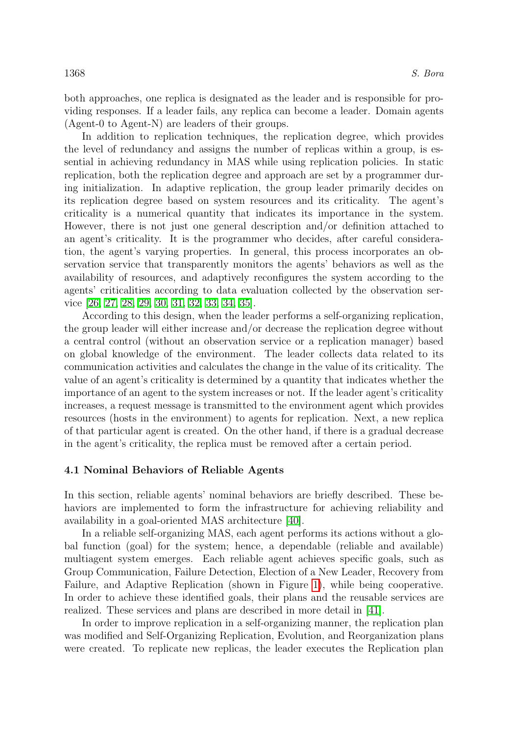both approaches, one replica is designated as the leader and is responsible for providing responses. If a leader fails, any replica can become a leader. Domain agents (Agent-0 to Agent-N) are leaders of their groups.

In addition to replication techniques, the replication degree, which provides the level of redundancy and assigns the number of replicas within a group, is essential in achieving redundancy in MAS while using replication policies. In static replication, both the replication degree and approach are set by a programmer during initialization. In adaptive replication, the group leader primarily decides on its replication degree based on system resources and its criticality. The agent's criticality is a numerical quantity that indicates its importance in the system. However, there is not just one general description and/or definition attached to an agent's criticality. It is the programmer who decides, after careful consideration, the agent's varying properties. In general, this process incorporates an observation service that transparently monitors the agents' behaviors as well as the availability of resources, and adaptively reconfigures the system according to the agents' criticalities according to data evaluation collected by the observation service [\[26,](#page-21-1) [27,](#page-21-2) [28,](#page-21-3) [29,](#page-21-4) [30,](#page-21-5) [31,](#page-21-6) [32,](#page-21-7) [33,](#page-21-8) [34,](#page-21-9) [35\]](#page-21-10).

According to this design, when the leader performs a self-organizing replication, the group leader will either increase and/or decrease the replication degree without a central control (without an observation service or a replication manager) based on global knowledge of the environment. The leader collects data related to its communication activities and calculates the change in the value of its criticality. The value of an agent's criticality is determined by a quantity that indicates whether the importance of an agent to the system increases or not. If the leader agent's criticality increases, a request message is transmitted to the environment agent which provides resources (hosts in the environment) to agents for replication. Next, a new replica of that particular agent is created. On the other hand, if there is a gradual decrease in the agent's criticality, the replica must be removed after a certain period.

#### 4.1 Nominal Behaviors of Reliable Agents

In this section, reliable agents' nominal behaviors are briefly described. These behaviors are implemented to form the infrastructure for achieving reliability and availability in a goal-oriented MAS architecture [\[40\]](#page-22-4).

In a reliable self-organizing MAS, each agent performs its actions without a global function (goal) for the system; hence, a dependable (reliable and available) multiagent system emerges. Each reliable agent achieves specific goals, such as Group Communication, Failure Detection, Election of a New Leader, Recovery from Failure, and Adaptive Replication (shown in Figure [1\)](#page-6-0), while being cooperative. In order to achieve these identified goals, their plans and the reusable services are realized. These services and plans are described in more detail in [\[41\]](#page-22-5).

In order to improve replication in a self-organizing manner, the replication plan was modified and Self-Organizing Replication, Evolution, and Reorganization plans were created. To replicate new replicas, the leader executes the Replication plan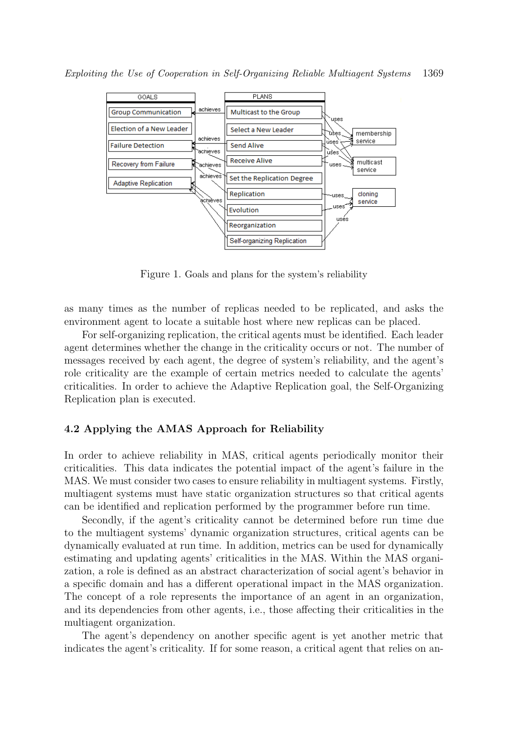

<span id="page-6-0"></span>Figure 1. Goals and plans for the system's reliability

as many times as the number of replicas needed to be replicated, and asks the environment agent to locate a suitable host where new replicas can be placed.

For self-organizing replication, the critical agents must be identified. Each leader agent determines whether the change in the criticality occurs or not. The number of messages received by each agent, the degree of system's reliability, and the agent's role criticality are the example of certain metrics needed to calculate the agents' criticalities. In order to achieve the Adaptive Replication goal, the Self-Organizing Replication plan is executed.

#### 4.2 Applying the AMAS Approach for Reliability

In order to achieve reliability in MAS, critical agents periodically monitor their criticalities. This data indicates the potential impact of the agent's failure in the MAS. We must consider two cases to ensure reliability in multiagent systems. Firstly, multiagent systems must have static organization structures so that critical agents can be identified and replication performed by the programmer before run time.

Secondly, if the agent's criticality cannot be determined before run time due to the multiagent systems' dynamic organization structures, critical agents can be dynamically evaluated at run time. In addition, metrics can be used for dynamically estimating and updating agents' criticalities in the MAS. Within the MAS organization, a role is defined as an abstract characterization of social agent's behavior in a specific domain and has a different operational impact in the MAS organization. The concept of a role represents the importance of an agent in an organization, and its dependencies from other agents, i.e., those affecting their criticalities in the multiagent organization.

The agent's dependency on another specific agent is yet another metric that indicates the agent's criticality. If for some reason, a critical agent that relies on an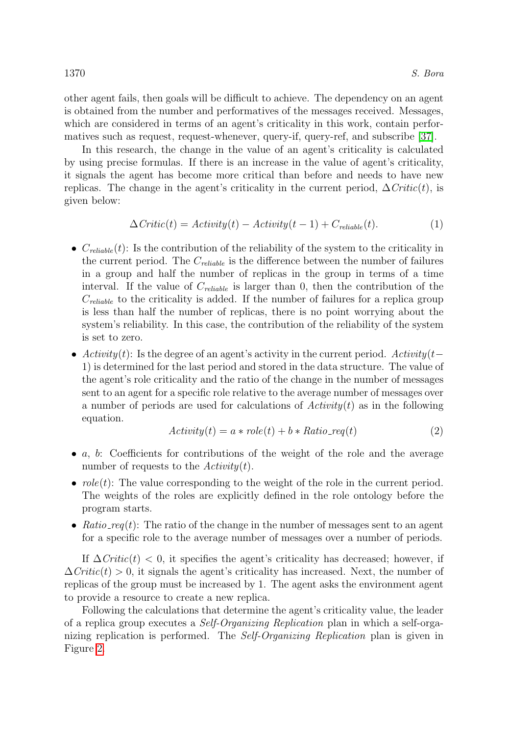other agent fails, then goals will be difficult to achieve. The dependency on an agent is obtained from the number and performatives of the messages received. Messages, which are considered in terms of an agent's criticality in this work, contain performatives such as request, request-whenever, query-if, query-ref, and subscribe [\[37\]](#page-22-1).

In this research, the change in the value of an agent's criticality is calculated by using precise formulas. If there is an increase in the value of agent's criticality, it signals the agent has become more critical than before and needs to have new replicas. The change in the agent's criticality in the current period,  $\Delta \text{Critic}(t)$ , is given below:

$$
\Delta Critic(t) = Activity(t) - Activity(t-1) + C_{reiable}(t).
$$
\n(1)

- $C_{reliable}(t)$ : Is the contribution of the reliability of the system to the criticality in the current period. The  $C_{reliable}$  is the difference between the number of failures in a group and half the number of replicas in the group in terms of a time interval. If the value of  $C_{reiable}$  is larger than 0, then the contribution of the  $C_{reliable}$  to the criticality is added. If the number of failures for a replica group is less than half the number of replicas, there is no point worrying about the system's reliability. In this case, the contribution of the reliability of the system is set to zero.
- Activity(t): Is the degree of an agent's activity in the current period. Activity(t– 1) is determined for the last period and stored in the data structure. The value of the agent's role criticality and the ratio of the change in the number of messages sent to an agent for a specific role relative to the average number of messages over a number of periods are used for calculations of  $Activity(t)$  as in the following equation.

$$
Activity(t) = a * role(t) + b * Ratio\_req(t)
$$
\n
$$
(2)
$$

- $a, b$ : Coefficients for contributions of the weight of the role and the average number of requests to the  $Activity(t)$ .
- $role(t)$ : The value corresponding to the weight of the role in the current period. The weights of the roles are explicitly defined in the role ontology before the program starts.
- Ratio\_req(t): The ratio of the change in the number of messages sent to an agent for a specific role to the average number of messages over a number of periods.

If  $\Delta \text{Critic}(t) < 0$ , it specifies the agent's criticality has decreased; however, if  $\Delta$ Critic(t) > 0, it signals the agent's criticality has increased. Next, the number of replicas of the group must be increased by 1. The agent asks the environment agent to provide a resource to create a new replica.

Following the calculations that determine the agent's criticality value, the leader of a replica group executes a Self-Organizing Replication plan in which a self-organizing replication is performed. The Self-Organizing Replication plan is given in Figure [2.](#page-8-0)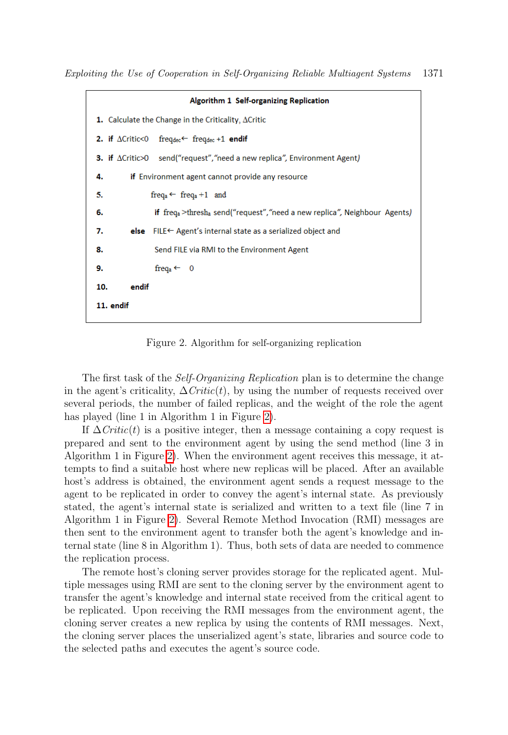|                                                                    | Algorithm 1 Self-organizing Replication                                                                  |  |
|--------------------------------------------------------------------|----------------------------------------------------------------------------------------------------------|--|
| <b>1.</b> Calculate the Change in the Criticality, $\Delta$ Critic |                                                                                                          |  |
|                                                                    | <b>2.</b> if $\triangle$ Critic<0 freqdec <sup><math>\leftarrow</math></sup> freqdec +1 <b>endif</b>     |  |
|                                                                    | <b>3.</b> if $\Delta$ Critic>0 send("request", "need a new replica", Environment Agent)                  |  |
| if Environment agent cannot provide any resource<br>4.             |                                                                                                          |  |
| 5.                                                                 | freq <sub>a</sub> $\leftarrow$ freq <sub>a</sub> +1 and                                                  |  |
| 6.                                                                 | <b>if</b> freq <sub>a</sub> >thresh <sub>a</sub> send("request", "need a new replica", Neighbour Agents) |  |
| 7.                                                                 | <b>else</b> FILE $\leftarrow$ Agent's internal state as a serialized object and                          |  |
| 8.                                                                 | Send FILE via RMI to the Environment Agent                                                               |  |
| 9.                                                                 | freq <sub>a</sub> $\leftarrow$ 0                                                                         |  |
| 10.<br>endif                                                       |                                                                                                          |  |
| 11. endif                                                          |                                                                                                          |  |

<span id="page-8-0"></span>Figure 2. Algorithm for self-organizing replication

The first task of the Self-Organizing Replication plan is to determine the change in the agent's criticality,  $\Delta \text{Critic}(t)$ , by using the number of requests received over several periods, the number of failed replicas, and the weight of the role the agent has played (line 1 in Algorithm 1 in Figure [2\)](#page-8-0).

If  $\Delta Critic(t)$  is a positive integer, then a message containing a copy request is prepared and sent to the environment agent by using the send method (line 3 in Algorithm 1 in Figure [2\)](#page-8-0). When the environment agent receives this message, it attempts to find a suitable host where new replicas will be placed. After an available host's address is obtained, the environment agent sends a request message to the agent to be replicated in order to convey the agent's internal state. As previously stated, the agent's internal state is serialized and written to a text file (line 7 in Algorithm 1 in Figure [2\)](#page-8-0). Several Remote Method Invocation (RMI) messages are then sent to the environment agent to transfer both the agent's knowledge and internal state (line 8 in Algorithm 1). Thus, both sets of data are needed to commence the replication process.

The remote host's cloning server provides storage for the replicated agent. Multiple messages using RMI are sent to the cloning server by the environment agent to transfer the agent's knowledge and internal state received from the critical agent to be replicated. Upon receiving the RMI messages from the environment agent, the cloning server creates a new replica by using the contents of RMI messages. Next, the cloning server places the unserialized agent's state, libraries and source code to the selected paths and executes the agent's source code.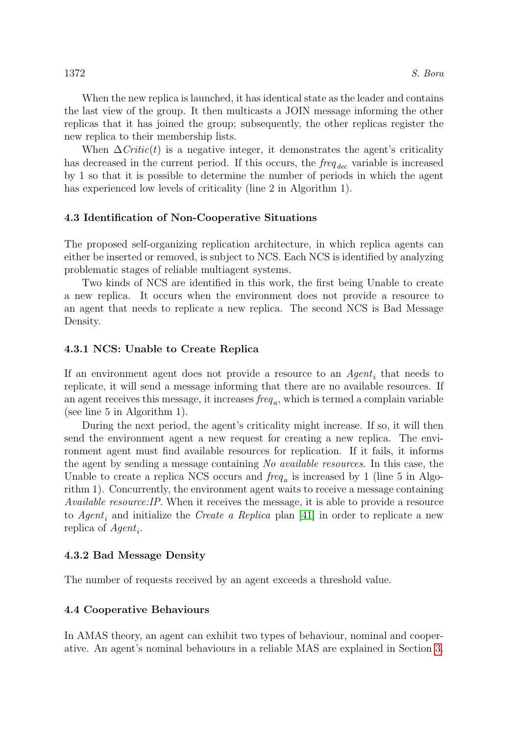When the new replica is launched, it has identical state as the leader and contains the last view of the group. It then multicasts a JOIN message informing the other replicas that it has joined the group; subsequently, the other replicas register the new replica to their membership lists.

When  $\Delta Critic(t)$  is a negative integer, it demonstrates the agent's criticality has decreased in the current period. If this occurs, the  $freq_{dec}$  variable is increased by 1 so that it is possible to determine the number of periods in which the agent has experienced low levels of criticality (line 2 in Algorithm 1).

## 4.3 Identification of Non-Cooperative Situations

The proposed self-organizing replication architecture, in which replica agents can either be inserted or removed, is subject to NCS. Each NCS is identified by analyzing problematic stages of reliable multiagent systems.

Two kinds of NCS are identified in this work, the first being Unable to create a new replica. It occurs when the environment does not provide a resource to an agent that needs to replicate a new replica. The second NCS is Bad Message Density.

## 4.3.1 NCS: Unable to Create Replica

If an environment agent does not provide a resource to an  $Agent_i$  that needs to replicate, it will send a message informing that there are no available resources. If an agent receives this message, it increases  $freq_a$ , which is termed a complain variable (see line 5 in Algorithm 1).

During the next period, the agent's criticality might increase. If so, it will then send the environment agent a new request for creating a new replica. The environment agent must find available resources for replication. If it fails, it informs the agent by sending a message containing No available resources. In this case, the Unable to create a replica NCS occurs and  $freq_a$  is increased by 1 (line 5 in Algorithm 1). Concurrently, the environment agent waits to receive a message containing Available resource:IP. When it receives the message, it is able to provide a resource to Agent<sub>i</sub> and initialize the Create a Replica plan [\[41\]](#page-22-5) in order to replicate a new replica of  $Agent_i$ .

#### 4.3.2 Bad Message Density

The number of requests received by an agent exceeds a threshold value.

#### 4.4 Cooperative Behaviours

In AMAS theory, an agent can exhibit two types of behaviour, nominal and cooperative. An agent's nominal behaviours in a reliable MAS are explained in Section [3.](#page-3-0)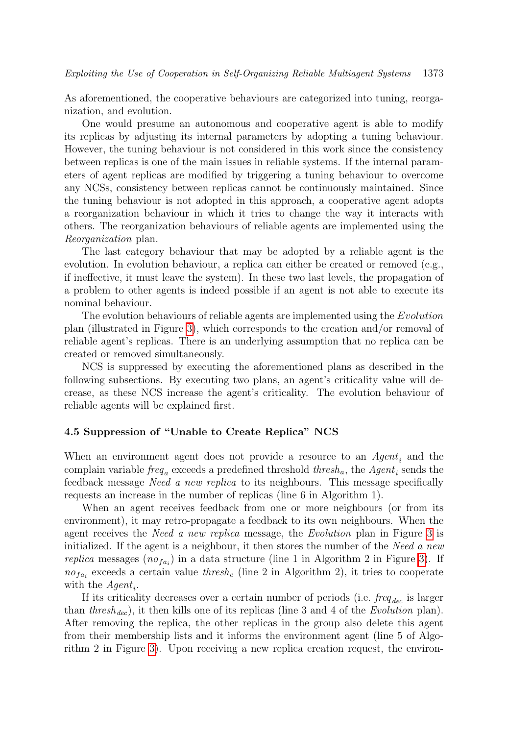As aforementioned, the cooperative behaviours are categorized into tuning, reorganization, and evolution.

One would presume an autonomous and cooperative agent is able to modify its replicas by adjusting its internal parameters by adopting a tuning behaviour. However, the tuning behaviour is not considered in this work since the consistency between replicas is one of the main issues in reliable systems. If the internal parameters of agent replicas are modified by triggering a tuning behaviour to overcome any NCSs, consistency between replicas cannot be continuously maintained. Since the tuning behaviour is not adopted in this approach, a cooperative agent adopts a reorganization behaviour in which it tries to change the way it interacts with others. The reorganization behaviours of reliable agents are implemented using the Reorganization plan.

The last category behaviour that may be adopted by a reliable agent is the evolution. In evolution behaviour, a replica can either be created or removed (e.g., if ineffective, it must leave the system). In these two last levels, the propagation of a problem to other agents is indeed possible if an agent is not able to execute its nominal behaviour.

The evolution behaviours of reliable agents are implemented using the *Evolution* plan (illustrated in Figure [3\)](#page-11-0), which corresponds to the creation and/or removal of reliable agent's replicas. There is an underlying assumption that no replica can be created or removed simultaneously.

NCS is suppressed by executing the aforementioned plans as described in the following subsections. By executing two plans, an agent's criticality value will decrease, as these NCS increase the agent's criticality. The evolution behaviour of reliable agents will be explained first.

#### 4.5 Suppression of "Unable to Create Replica" NCS

When an environment agent does not provide a resource to an  $Agent_i$  and the complain variable  $freq_a$  exceeds a predefined threshold  $thresh_a$  the  $Agent_i$  sends the feedback message Need a new replica to its neighbours. This message specifically requests an increase in the number of replicas (line 6 in Algorithm 1).

When an agent receives feedback from one or more neighbours (or from its environment), it may retro-propagate a feedback to its own neighbours. When the agent receives the Need a new replica message, the Evolution plan in Figure [3](#page-11-0) is initialized. If the agent is a neighbour, it then stores the number of the Need  $a$  new replica messages  $(no_{fa_i})$  in a data structure (line 1 in Algorithm 2 in Figure [3\)](#page-11-0). If  $no_{fa_i}$  exceeds a certain value thresh<sub>c</sub> (line 2 in Algorithm 2), it tries to cooperate with the  $Agent_i.$ 

If its criticality decreases over a certain number of periods (i.e.  $freq_{dec}$  is larger than thresh<sub>dec</sub>), it then kills one of its replicas (line 3 and 4 of the Evolution plan). After removing the replica, the other replicas in the group also delete this agent from their membership lists and it informs the environment agent (line 5 of Algorithm 2 in Figure [3\)](#page-11-0). Upon receiving a new replica creation request, the environ-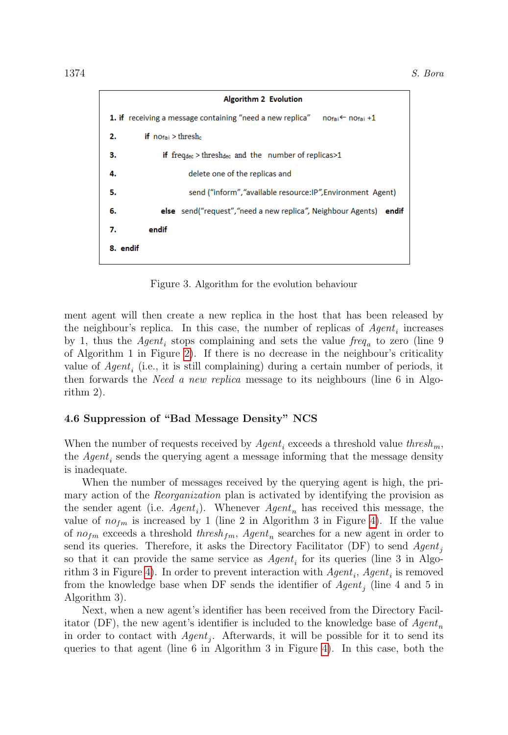|                                                                                       | <b>Algorithm 2 Evolution</b>                                                     |  |
|---------------------------------------------------------------------------------------|----------------------------------------------------------------------------------|--|
| 1. if receiving a message containing "need a new replica" notai $\leftarrow$ notai +1 |                                                                                  |  |
| 2.                                                                                    | <b>if</b> $no_{\text{fail}} >$ thresh.                                           |  |
| з.                                                                                    | if frequence thresholed and the number of replicas $>1$                          |  |
| 4.                                                                                    | delete one of the replicas and                                                   |  |
| 5.                                                                                    | send ("inform", "available resource: IP", Environment Agent)                     |  |
| 6.                                                                                    | <b>else</b> send("request", "need a new replica", Neighbour Agents) <b>endif</b> |  |
| 7.                                                                                    | endif                                                                            |  |
| 8. endif                                                                              |                                                                                  |  |

<span id="page-11-0"></span>Figure 3. Algorithm for the evolution behaviour

ment agent will then create a new replica in the host that has been released by the neighbour's replica. In this case, the number of replicas of  $Agent_i$  increases by 1, thus the  $Agent_i$  stops complaining and sets the value  $freq_a$  to zero (line 9 of Algorithm 1 in Figure [2\)](#page-8-0). If there is no decrease in the neighbour's criticality value of  $Agent_i$  (i.e., it is still complaining) during a certain number of periods, it then forwards the *Need a new replica* message to its neighbours (line 6 in Algorithm 2).

## 4.6 Suppression of "Bad Message Density" NCS

When the number of requests received by  $Agent_i$  exceeds a threshold value thresh<sub>m</sub>, the  $Agent_i$  sends the querying agent a message informing that the message density is inadequate.

When the number of messages received by the querying agent is high, the primary action of the *Reorganization* plan is activated by identifying the provision as the sender agent (i.e.  $Agent_i$ ). Whenever  $Agent_n$  has received this message, the value of  $no<sub>fm</sub>$  is increased by 1 (line 2 in Algorithm 3 in Figure [4\)](#page-12-1). If the value of  $no_{fm}$  exceeds a threshold  $thresh_{fm}$ ,  $Agent_n$  searches for a new agent in order to send its queries. Therefore, it asks the Directory Facilitator (DF) to send  $Agent_i$ so that it can provide the same service as  $Agent_i$  for its queries (line 3 in Algo-rithm 3 in Figure [4\)](#page-12-1). In order to prevent interaction with  $Agent_i$ ,  $Agent_i$  is removed from the knowledge base when DF sends the identifier of  $Agent_j$  (line 4 and 5 in Algorithm 3).

Next, when a new agent's identifier has been received from the Directory Facilitator (DF), the new agent's identifier is included to the knowledge base of  $Agent_n$ in order to contact with  $Agent_j$ . Afterwards, it will be possible for it to send its queries to that agent (line 6 in Algorithm 3 in Figure [4\)](#page-12-1). In this case, both the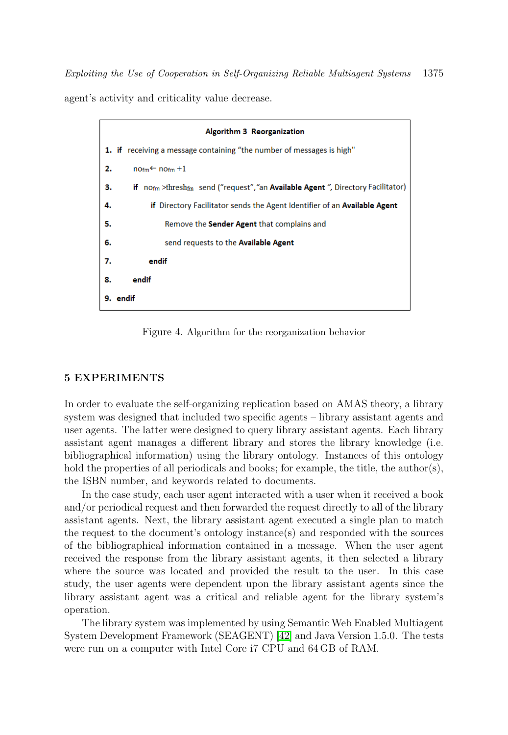Exploiting the Use of Cooperation in Self-Organizing Reliable Multiagent Systems 1375 agent's activity and criticality value decrease.

|    | Algorithm 3 Reorganization                                                                             |
|----|--------------------------------------------------------------------------------------------------------|
|    | <b>1.</b> if receiving a message containing "the number of messages is high"                           |
| 2. | $norm \leftarrow norm + 1$                                                                             |
| з. | if no <sub>fm</sub> >thresh <sub>fm</sub> send ("request","an Available Agent", Directory Facilitator) |
| 4. | if Directory Facilitator sends the Agent Identifier of an Available Agent                              |
| 5. | Remove the <b>Sender Agent</b> that complains and                                                      |
| 6. | send requests to the Available Agent                                                                   |
| 7. | endif                                                                                                  |
| 8. | endif                                                                                                  |
|    | 9. endif                                                                                               |

<span id="page-12-1"></span>Figure 4. Algorithm for the reorganization behavior

#### <span id="page-12-0"></span>5 EXPERIMENTS

In order to evaluate the self-organizing replication based on AMAS theory, a library system was designed that included two specific agents – library assistant agents and user agents. The latter were designed to query library assistant agents. Each library assistant agent manages a different library and stores the library knowledge (i.e. bibliographical information) using the library ontology. Instances of this ontology hold the properties of all periodicals and books; for example, the title, the author(s), the ISBN number, and keywords related to documents.

In the case study, each user agent interacted with a user when it received a book and/or periodical request and then forwarded the request directly to all of the library assistant agents. Next, the library assistant agent executed a single plan to match the request to the document's ontology instance(s) and responded with the sources of the bibliographical information contained in a message. When the user agent received the response from the library assistant agents, it then selected a library where the source was located and provided the result to the user. In this case study, the user agents were dependent upon the library assistant agents since the library assistant agent was a critical and reliable agent for the library system's operation.

The library system was implemented by using Semantic Web Enabled Multiagent System Development Framework (SEAGENT) [\[42\]](#page-22-6) and Java Version 1.5.0. The tests were run on a computer with Intel Core i7 CPU and 64 GB of RAM.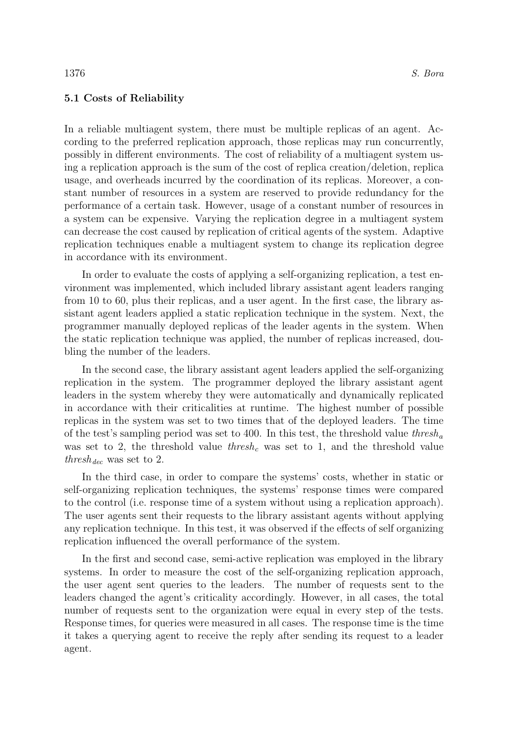#### 5.1 Costs of Reliability

In a reliable multiagent system, there must be multiple replicas of an agent. According to the preferred replication approach, those replicas may run concurrently, possibly in different environments. The cost of reliability of a multiagent system using a replication approach is the sum of the cost of replica creation/deletion, replica usage, and overheads incurred by the coordination of its replicas. Moreover, a constant number of resources in a system are reserved to provide redundancy for the performance of a certain task. However, usage of a constant number of resources in a system can be expensive. Varying the replication degree in a multiagent system can decrease the cost caused by replication of critical agents of the system. Adaptive replication techniques enable a multiagent system to change its replication degree in accordance with its environment.

In order to evaluate the costs of applying a self-organizing replication, a test environment was implemented, which included library assistant agent leaders ranging from 10 to 60, plus their replicas, and a user agent. In the first case, the library assistant agent leaders applied a static replication technique in the system. Next, the programmer manually deployed replicas of the leader agents in the system. When the static replication technique was applied, the number of replicas increased, doubling the number of the leaders.

In the second case, the library assistant agent leaders applied the self-organizing replication in the system. The programmer deployed the library assistant agent leaders in the system whereby they were automatically and dynamically replicated in accordance with their criticalities at runtime. The highest number of possible replicas in the system was set to two times that of the deployed leaders. The time of the test's sampling period was set to 400. In this test, the threshold value thresh<sub>a</sub> was set to 2, the threshold value thresh, was set to 1, and the threshold value  $thresh_{dec}$  was set to 2.

In the third case, in order to compare the systems' costs, whether in static or self-organizing replication techniques, the systems' response times were compared to the control (i.e. response time of a system without using a replication approach). The user agents sent their requests to the library assistant agents without applying any replication technique. In this test, it was observed if the effects of self organizing replication influenced the overall performance of the system.

In the first and second case, semi-active replication was employed in the library systems. In order to measure the cost of the self-organizing replication approach, the user agent sent queries to the leaders. The number of requests sent to the leaders changed the agent's criticality accordingly. However, in all cases, the total number of requests sent to the organization were equal in every step of the tests. Response times, for queries were measured in all cases. The response time is the time it takes a querying agent to receive the reply after sending its request to a leader agent.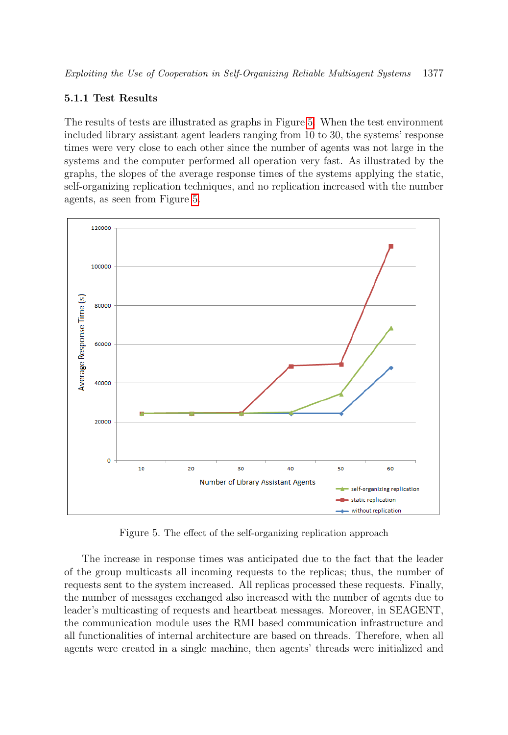## 5.1.1 Test Results

The results of tests are illustrated as graphs in Figure [5.](#page-14-0) When the test environment included library assistant agent leaders ranging from 10 to 30, the systems' response times were very close to each other since the number of agents was not large in the systems and the computer performed all operation very fast. As illustrated by the graphs, the slopes of the average response times of the systems applying the static, self-organizing replication techniques, and no replication increased with the number agents, as seen from Figure [5.](#page-14-0)



<span id="page-14-0"></span>Figure 5. The effect of the self-organizing replication approach

The increase in response times was anticipated due to the fact that the leader of the group multicasts all incoming requests to the replicas; thus, the number of requests sent to the system increased. All replicas processed these requests. Finally, the number of messages exchanged also increased with the number of agents due to leader's multicasting of requests and heartbeat messages. Moreover, in SEAGENT, the communication module uses the RMI based communication infrastructure and all functionalities of internal architecture are based on threads. Therefore, when all agents were created in a single machine, then agents' threads were initialized and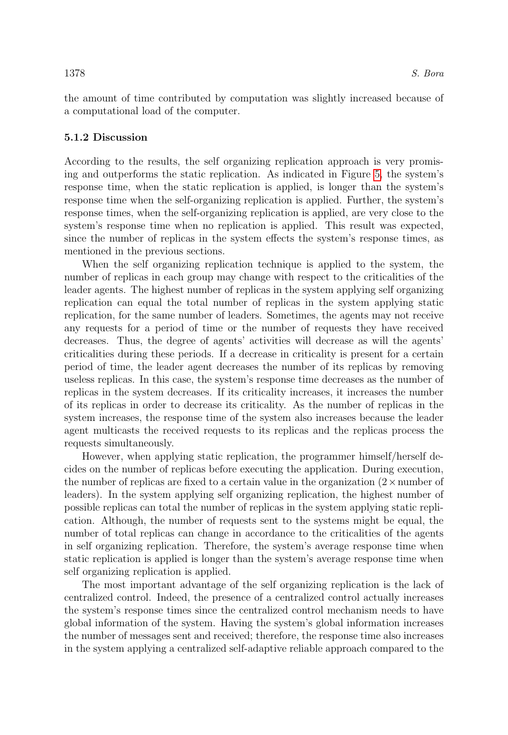the amount of time contributed by computation was slightly increased because of a computational load of the computer.

## 5.1.2 Discussion

According to the results, the self organizing replication approach is very promising and outperforms the static replication. As indicated in Figure [5,](#page-14-0) the system's response time, when the static replication is applied, is longer than the system's response time when the self-organizing replication is applied. Further, the system's response times, when the self-organizing replication is applied, are very close to the system's response time when no replication is applied. This result was expected, since the number of replicas in the system effects the system's response times, as mentioned in the previous sections.

When the self organizing replication technique is applied to the system, the number of replicas in each group may change with respect to the criticalities of the leader agents. The highest number of replicas in the system applying self organizing replication can equal the total number of replicas in the system applying static replication, for the same number of leaders. Sometimes, the agents may not receive any requests for a period of time or the number of requests they have received decreases. Thus, the degree of agents' activities will decrease as will the agents' criticalities during these periods. If a decrease in criticality is present for a certain period of time, the leader agent decreases the number of its replicas by removing useless replicas. In this case, the system's response time decreases as the number of replicas in the system decreases. If its criticality increases, it increases the number of its replicas in order to decrease its criticality. As the number of replicas in the system increases, the response time of the system also increases because the leader agent multicasts the received requests to its replicas and the replicas process the requests simultaneously.

However, when applying static replication, the programmer himself/herself decides on the number of replicas before executing the application. During execution, the number of replicas are fixed to a certain value in the organization  $(2 \times$  number of leaders). In the system applying self organizing replication, the highest number of possible replicas can total the number of replicas in the system applying static replication. Although, the number of requests sent to the systems might be equal, the number of total replicas can change in accordance to the criticalities of the agents in self organizing replication. Therefore, the system's average response time when static replication is applied is longer than the system's average response time when self organizing replication is applied.

The most important advantage of the self organizing replication is the lack of centralized control. Indeed, the presence of a centralized control actually increases the system's response times since the centralized control mechanism needs to have global information of the system. Having the system's global information increases the number of messages sent and received; therefore, the response time also increases in the system applying a centralized self-adaptive reliable approach compared to the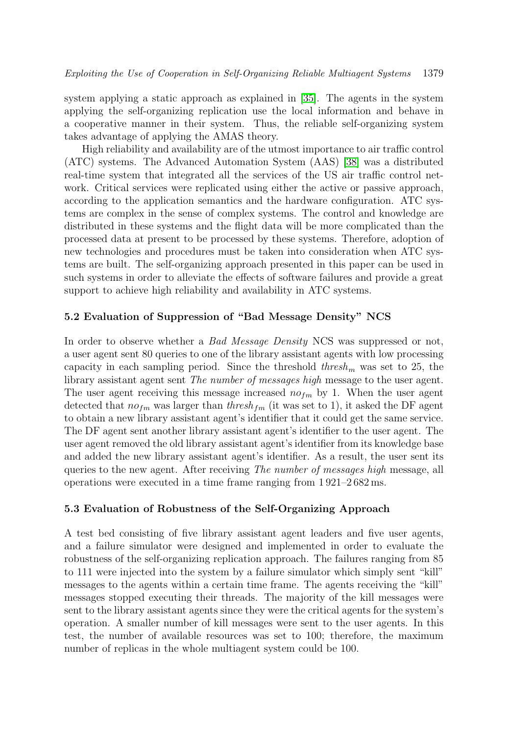system applying a static approach as explained in [\[35\]](#page-21-10). The agents in the system applying the self-organizing replication use the local information and behave in a cooperative manner in their system. Thus, the reliable self-organizing system takes advantage of applying the AMAS theory.

High reliability and availability are of the utmost importance to air traffic control (ATC) systems. The Advanced Automation System (AAS) [\[38\]](#page-22-2) was a distributed real-time system that integrated all the services of the US air traffic control network. Critical services were replicated using either the active or passive approach, according to the application semantics and the hardware configuration. ATC systems are complex in the sense of complex systems. The control and knowledge are distributed in these systems and the flight data will be more complicated than the processed data at present to be processed by these systems. Therefore, adoption of new technologies and procedures must be taken into consideration when ATC systems are built. The self-organizing approach presented in this paper can be used in such systems in order to alleviate the effects of software failures and provide a great support to achieve high reliability and availability in ATC systems.

#### 5.2 Evaluation of Suppression of "Bad Message Density" NCS

In order to observe whether a *Bad Message Density* NCS was suppressed or not, a user agent sent 80 queries to one of the library assistant agents with low processing capacity in each sampling period. Since the threshold  $thresh_m$  was set to 25, the library assistant agent sent The number of messages high message to the user agent. The user agent receiving this message increased  $n \circ t_m$  by 1. When the user agent detected that  $no_{fm}$  was larger than  $thresh_{fm}$  (it was set to 1), it asked the DF agent to obtain a new library assistant agent's identifier that it could get the same service. The DF agent sent another library assistant agent's identifier to the user agent. The user agent removed the old library assistant agent's identifier from its knowledge base and added the new library assistant agent's identifier. As a result, the user sent its queries to the new agent. After receiving The number of messages high message, all operations were executed in a time frame ranging from 1 921–2 682 ms.

#### 5.3 Evaluation of Robustness of the Self-Organizing Approach

A test bed consisting of five library assistant agent leaders and five user agents, and a failure simulator were designed and implemented in order to evaluate the robustness of the self-organizing replication approach. The failures ranging from 85 to 111 were injected into the system by a failure simulator which simply sent "kill" messages to the agents within a certain time frame. The agents receiving the "kill" messages stopped executing their threads. The majority of the kill messages were sent to the library assistant agents since they were the critical agents for the system's operation. A smaller number of kill messages were sent to the user agents. In this test, the number of available resources was set to 100; therefore, the maximum number of replicas in the whole multiagent system could be 100.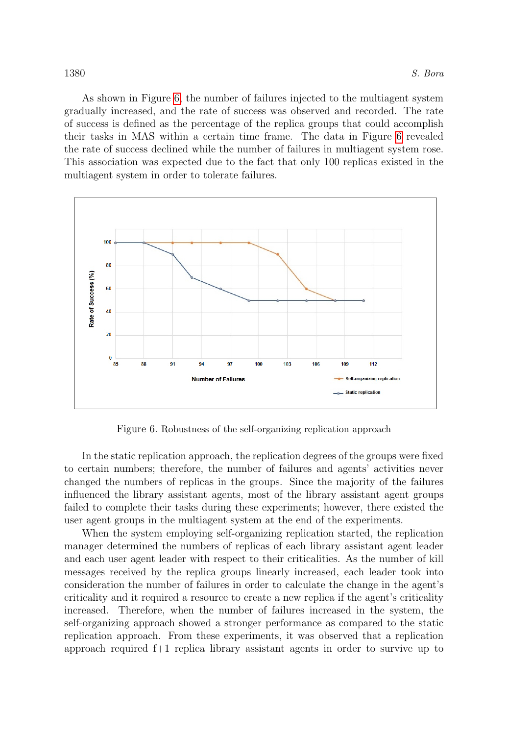As shown in Figure [6,](#page-17-0) the number of failures injected to the multiagent system gradually increased, and the rate of success was observed and recorded. The rate of success is defined as the percentage of the replica groups that could accomplish their tasks in MAS within a certain time frame. The data in Figure [6](#page-17-0) revealed the rate of success declined while the number of failures in multiagent system rose. This association was expected due to the fact that only 100 replicas existed in the multiagent system in order to tolerate failures.



<span id="page-17-0"></span>Figure 6. Robustness of the self-organizing replication approach

In the static replication approach, the replication degrees of the groups were fixed to certain numbers; therefore, the number of failures and agents' activities never changed the numbers of replicas in the groups. Since the majority of the failures influenced the library assistant agents, most of the library assistant agent groups failed to complete their tasks during these experiments; however, there existed the user agent groups in the multiagent system at the end of the experiments.

When the system employing self-organizing replication started, the replication manager determined the numbers of replicas of each library assistant agent leader and each user agent leader with respect to their criticalities. As the number of kill messages received by the replica groups linearly increased, each leader took into consideration the number of failures in order to calculate the change in the agent's criticality and it required a resource to create a new replica if the agent's criticality increased. Therefore, when the number of failures increased in the system, the self-organizing approach showed a stronger performance as compared to the static replication approach. From these experiments, it was observed that a replication approach required f+1 replica library assistant agents in order to survive up to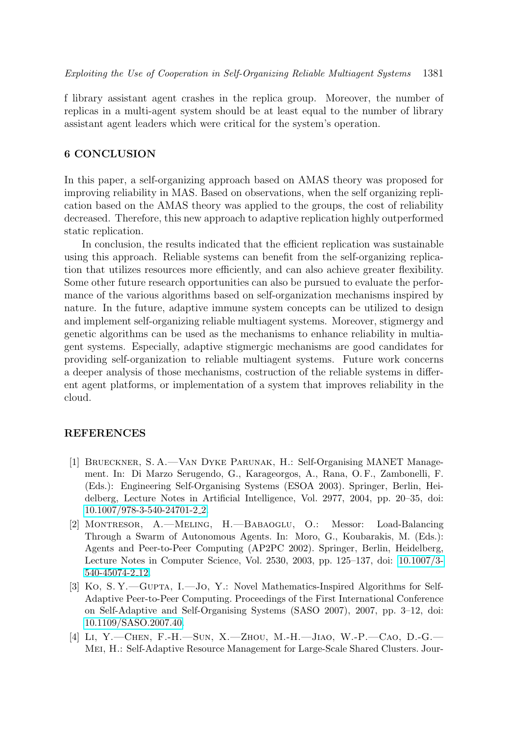f library assistant agent crashes in the replica group. Moreover, the number of replicas in a multi-agent system should be at least equal to the number of library assistant agent leaders which were critical for the system's operation.

## <span id="page-18-0"></span>6 CONCLUSION

In this paper, a self-organizing approach based on AMAS theory was proposed for improving reliability in MAS. Based on observations, when the self organizing replication based on the AMAS theory was applied to the groups, the cost of reliability decreased. Therefore, this new approach to adaptive replication highly outperformed static replication.

In conclusion, the results indicated that the efficient replication was sustainable using this approach. Reliable systems can benefit from the self-organizing replication that utilizes resources more efficiently, and can also achieve greater flexibility. Some other future research opportunities can also be pursued to evaluate the performance of the various algorithms based on self-organization mechanisms inspired by nature. In the future, adaptive immune system concepts can be utilized to design and implement self-organizing reliable multiagent systems. Moreover, stigmergy and genetic algorithms can be used as the mechanisms to enhance reliability in multiagent systems. Especially, adaptive stigmergic mechanisms are good candidates for providing self-organization to reliable multiagent systems. Future work concerns a deeper analysis of those mechanisms, costruction of the reliable systems in different agent platforms, or implementation of a system that improves reliability in the cloud.

#### REFERENCES

- <span id="page-18-1"></span>[1] Brueckner, S. A.—Van Dyke Parunak, H.: Self-Organising MANET Management. In: Di Marzo Serugendo, G., Karageorgos, A., Rana, O. F., Zambonelli, F. (Eds.): Engineering Self-Organising Systems (ESOA 2003). Springer, Berlin, Heidelberg, Lecture Notes in Artificial Intelligence, Vol. 2977, 2004, pp. 20–35, doi: [10.1007/978-3-540-24701-2](https://doi.org/10.1007/978-3-540-24701-2_2) 2.
- <span id="page-18-2"></span>[2] Montresor, A.—Meling, H.—Babaoglu, O.: Messor: Load-Balancing Through a Swarm of Autonomous Agents. In: Moro, G., Koubarakis, M. (Eds.): Agents and Peer-to-Peer Computing (AP2PC 2002). Springer, Berlin, Heidelberg, Lecture Notes in Computer Science, Vol. 2530, 2003, pp. 125–137, doi: [10.1007/3-](https://doi.org/10.1007/3-540-45074-2_12) [540-45074-2](https://doi.org/10.1007/3-540-45074-2_12) 12.
- <span id="page-18-3"></span>[3] Ko, S. Y.—GUPTA, I.—Jo, Y.: Novel Mathematics-Inspired Algorithms for Self-Adaptive Peer-to-Peer Computing. Proceedings of the First International Conference on Self-Adaptive and Self-Organising Systems (SASO 2007), 2007, pp. 3–12, doi: [10.1109/SASO.2007.40.](https://doi.org/10.1109/SASO.2007.40)
- <span id="page-18-4"></span>[4] Li, Y.—Chen, F.-H.—Sun, X.—Zhou, M.-H.—Jiao, W.-P.—Cao, D.-G.— Mei, H.: Self-Adaptive Resource Management for Large-Scale Shared Clusters. Jour-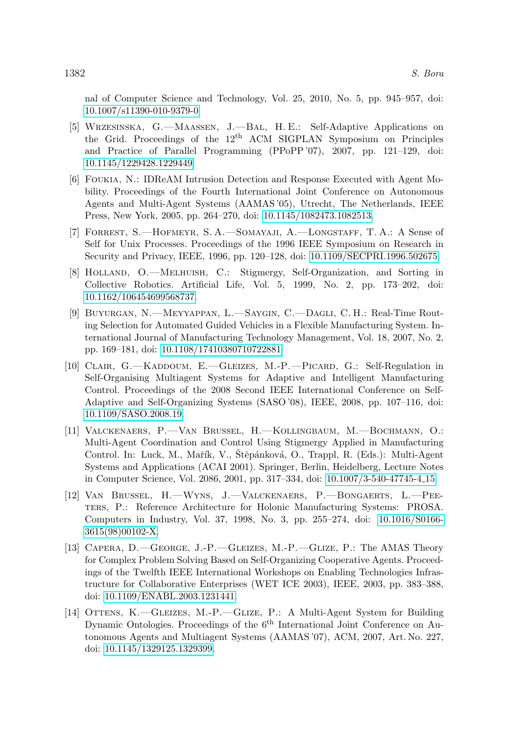nal of Computer Science and Technology, Vol. 25, 2010, No. 5, pp. 945–957, doi: [10.1007/s11390-010-9379-0.](https://doi.org/10.1007/s11390-010-9379-0)

- <span id="page-19-0"></span>[5] Wrzesinska, G.—Maassen, J.—Bal, H. E.: Self-Adaptive Applications on the Grid. Proceedings of the 12th ACM SIGPLAN Symposium on Principles and Practice of Parallel Programming (PPoPP '07), 2007, pp. 121–129, doi: [10.1145/1229428.1229449.](https://doi.org/10.1145/1229428.1229449)
- <span id="page-19-1"></span>[6] Foukia, N.: IDReAM Intrusion Detection and Response Executed with Agent Mobility. Proceedings of the Fourth International Joint Conference on Autonomous Agents and Multi-Agent Systems (AAMAS '05), Utrecht, The Netherlands, IEEE Press, New York, 2005, pp. 264–270, doi: [10.1145/1082473.1082513.](https://doi.org/10.1145/1082473.1082513)
- <span id="page-19-2"></span>[7] Forrest, S.—Hofmeyr, S. A.—Somayaji, A.—Longstaff, T. A.: A Sense of Self for Unix Processes. Proceedings of the 1996 IEEE Symposium on Research in Security and Privacy, IEEE, 1996, pp. 120–128, doi: [10.1109/SECPRI.1996.502675.](https://doi.org/10.1109/SECPRI.1996.502675)
- <span id="page-19-3"></span>[8] Holland, O.—Melhuish, C.: Stigmergy, Self-Organization, and Sorting in Collective Robotics. Artificial Life, Vol. 5, 1999, No. 2, pp. 173–202, doi: [10.1162/106454699568737.](https://doi.org/10.1162/106454699568737)
- <span id="page-19-4"></span>[9] Buyurgan, N.—Meyyappan, L.—Saygin, C.—Dagli, C. H.: Real-Time Routing Selection for Automated Guided Vehicles in a Flexible Manufacturing System. International Journal of Manufacturing Technology Management, Vol. 18, 2007, No. 2, pp. 169–181, doi: [10.1108/17410380710722881.](https://doi.org/10.1108/17410380710722881)
- <span id="page-19-5"></span>[10] CLAIR, G.—KADDOUM, E.—GLEIZES, M.-P.—PICARD, G.: Self-Regulation in Self-Organising Multiagent Systems for Adaptive and Intelligent Manufacturing Control. Proceedings of the 2008 Second IEEE International Conference on Self-Adaptive and Self-Organizing Systems (SASO '08), IEEE, 2008, pp. 107–116, doi: [10.1109/SASO.2008.19.](https://doi.org/10.1109/SASO.2008.19)
- <span id="page-19-6"></span>[11] Valckenaers, P.—Van Brussel, H.—Kollingbaum, M.—Bochmann, O.: Multi-Agent Coordination and Control Using Stigmergy Applied in Manufacturing Control. In: Luck, M., Mařík, V., Štěpánková, O., Trappl, R. (Eds.): Multi-Agent Systems and Applications (ACAI 2001). Springer, Berlin, Heidelberg, Lecture Notes in Computer Science, Vol. 2086, 2001, pp. 317–334, doi: [10.1007/3-540-47745-4](https://doi.org/10.1007/3-540-47745-4_15) 15.
- <span id="page-19-7"></span>[12] Van Brussel, H.—Wyns, J.—Valckenaers, P.—Bongaerts, L.—Peeters, P.: Reference Architecture for Holonic Manufacturing Systems: PROSA. Computers in Industry, Vol. 37, 1998, No. 3, pp. 255–274, doi: [10.1016/S0166-](https://doi.org/10.1016/S0166-3615(98)00102-X) [3615\(98\)00102-X.](https://doi.org/10.1016/S0166-3615(98)00102-X)
- <span id="page-19-8"></span>[13] Capera, D.—George, J.-P.—Gleizes, M.-P.—Glize, P.: The AMAS Theory for Complex Problem Solving Based on Self-Organizing Cooperative Agents. Proceedings of the Twelfth IEEE International Workshops on Enabling Technologies Infrastructure for Collaborative Enterprises (WET ICE 2003), IEEE, 2003, pp. 383–388, doi: [10.1109/ENABL.2003.1231441.](https://doi.org/10.1109/ENABL.2003.1231441)
- <span id="page-19-9"></span>[14] Ottens, K.—Gleizes, M.-P.—Glize, P.: A Multi-Agent System for Building Dynamic Ontologies. Proceedings of the 6<sup>th</sup> International Joint Conference on Autonomous Agents and Multiagent Systems (AAMAS '07), ACM, 2007, Art. No. 227, doi: [10.1145/1329125.1329399.](https://doi.org/10.1145/1329125.1329399)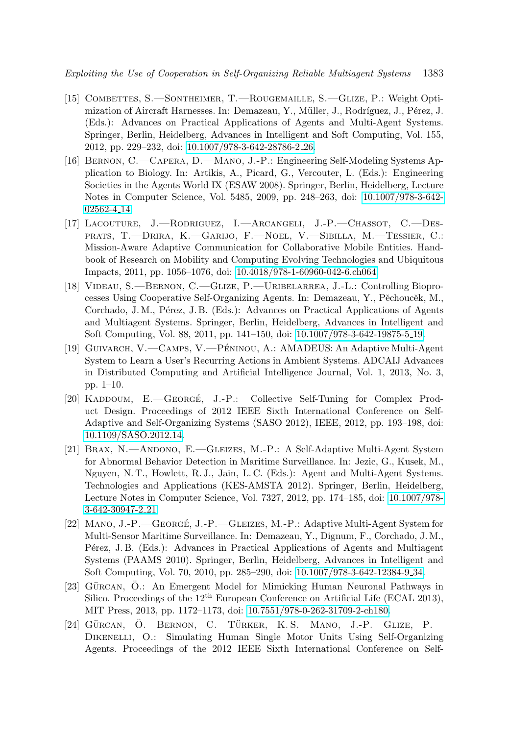- <span id="page-20-0"></span>[15] Combettes, S.—Sontheimer, T.—Rougemaille, S.—Glize, P.: Weight Optimization of Aircraft Harnesses. In: Demazeau, Y., Müller, J., Rodríguez, J., Pérez, J. (Eds.): Advances on Practical Applications of Agents and Multi-Agent Systems. Springer, Berlin, Heidelberg, Advances in Intelligent and Soft Computing, Vol. 155, 2012, pp. 229–232, doi: [10.1007/978-3-642-28786-2](https://doi.org/10.1007/978-3-642-28786-2_26) 26.
- <span id="page-20-1"></span>[16] Bernon, C.—Capera, D.—Mano, J.-P.: Engineering Self-Modeling Systems Application to Biology. In: Artikis, A., Picard, G., Vercouter, L. (Eds.): Engineering Societies in the Agents World IX (ESAW 2008). Springer, Berlin, Heidelberg, Lecture Notes in Computer Science, Vol. 5485, 2009, pp. 248–263, doi: [10.1007/978-3-642-](https://doi.org/10.1007/978-3-642-02562-4_14) [02562-4](https://doi.org/10.1007/978-3-642-02562-4_14) 14.
- <span id="page-20-2"></span>[17] Lacouture, J.—Rodriguez, I.—Arcangeli, J.-P.—Chassot, C.—Desprats, T.—Drira, K.—Garijo, F.—Noel, V.—Sibilla, M.—Tessier, C.: Mission-Aware Adaptive Communication for Collaborative Mobile Entities. Handbook of Research on Mobility and Computing Evolving Technologies and Ubiquitous Impacts, 2011, pp. 1056–1076, doi: [10.4018/978-1-60960-042-6.ch064.](https://doi.org/10.4018/978-1-60960-042-6.ch064)
- <span id="page-20-3"></span>[18] Videau, S.—Bernon, C.—Glize, P.—Uribelarrea, J.-L.: Controlling Bioprocesses Using Cooperative Self-Organizing Agents. In: Demazeau, Y., Pěchoucěk, M., Corchado, J. M., Pérez, J. B. (Eds.): Advances on Practical Applications of Agents and Multiagent Systems. Springer, Berlin, Heidelberg, Advances in Intelligent and Soft Computing, Vol. 88, 2011, pp. 141–150, doi: [10.1007/978-3-642-19875-5](https://doi.org/10.1007/978-3-642-19875-5_19) 19.
- <span id="page-20-4"></span>[19] GUIVARCH, V.—CAMPS, V.—PÉNINOU, A.: AMADEUS: An Adaptive Multi-Agent System to Learn a User's Recurring Actions in Ambient Systems. ADCAIJ Advances in Distributed Computing and Artificial Intelligence Journal, Vol. 1, 2013, No. 3, pp. 1–10.
- <span id="page-20-5"></span>[20] KADDOUM, E.—GEORGÉ, J.-P.: Collective Self-Tuning for Complex Product Design. Proceedings of 2012 IEEE Sixth International Conference on Self-Adaptive and Self-Organizing Systems (SASO 2012), IEEE, 2012, pp. 193–198, doi: [10.1109/SASO.2012.14.](https://doi.org/10.1109/SASO.2012.14)
- <span id="page-20-6"></span>[21] Brax, N.—Andono, E.—Gleizes, M.-P.: A Self-Adaptive Multi-Agent System for Abnormal Behavior Detection in Maritime Surveillance. In: Jezic, G., Kusek, M., Nguyen, N. T., Howlett, R. J., Jain, L. C. (Eds.): Agent and Multi-Agent Systems. Technologies and Applications (KES-AMSTA 2012). Springer, Berlin, Heidelberg, Lecture Notes in Computer Science, Vol. 7327, 2012, pp. 174–185, doi: [10.1007/978-](https://doi.org/10.1007/978-3-642-30947-2_21) [3-642-30947-2](https://doi.org/10.1007/978-3-642-30947-2_21) 21.
- <span id="page-20-7"></span>[22] MANO, J.-P.—GEORGÉ, J.-P.—GLEIZES, M.-P.: Adaptive Multi-Agent System for Multi-Sensor Maritime Surveillance. In: Demazeau, Y., Dignum, F., Corchado, J. M., Pérez, J. B. (Eds.): Advances in Practical Applications of Agents and Multiagent Systems (PAAMS 2010). Springer, Berlin, Heidelberg, Advances in Intelligent and Soft Computing, Vol. 70, 2010, pp. 285–290, doi: [10.1007/978-3-642-12384-9](https://doi.org/10.1007/978-3-642-12384-9_34) 34.
- <span id="page-20-8"></span>[23] GÜRCAN, Ö.: An Emergent Model for Mimicking Human Neuronal Pathways in Silico. Proceedings of the  $12<sup>th</sup>$  European Conference on Artificial Life (ECAL 2013), MIT Press, 2013, pp. 1172–1173, doi: [10.7551/978-0-262-31709-2-ch180.](https://doi.org/10.7551/978-0-262-31709-2-ch180)
- <span id="page-20-9"></span>[24] GÜRCAN,  $\ddot{O}$ . - BERNON, C. - TÜRKER, K. S. - MANO, J.-P. - GLIZE, P. DIKENELLI, O.: Simulating Human Single Motor Units Using Self-Organizing Agents. Proceedings of the 2012 IEEE Sixth International Conference on Self-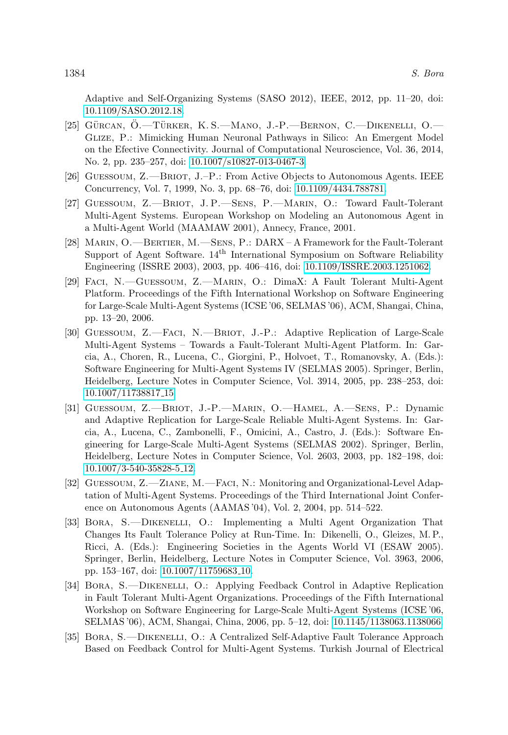Adaptive and Self-Organizing Systems (SASO 2012), IEEE, 2012, pp. 11–20, doi: [10.1109/SASO.2012.18.](https://doi.org/10.1109/SASO.2012.18)

- <span id="page-21-0"></span>[25] GÜRCAN,  $\ddot{O}$ . TÜRKER, K. S. — MANO, J.-P. — BERNON, C. — DIKENELLI,  $O$ . Glize, P.: Mimicking Human Neuronal Pathways in Silico: An Emergent Model on the Efective Connectivity. Journal of Computational Neuroscience, Vol. 36, 2014, No. 2, pp. 235–257, doi: [10.1007/s10827-013-0467-3.](https://doi.org/10.1007/s10827-013-0467-3)
- <span id="page-21-1"></span>[26] Guessoum, Z.—Briot, J.–P.: From Active Objects to Autonomous Agents. IEEE Concurrency, Vol. 7, 1999, No. 3, pp. 68–76, doi: [10.1109/4434.788781.](https://doi.org/10.1109/4434.788781)
- <span id="page-21-2"></span>[27] Guessoum, Z.—Briot, J. P.—Sens, P.—Marin, O.: Toward Fault-Tolerant Multi-Agent Systems. European Workshop on Modeling an Autonomous Agent in a Multi-Agent World (MAAMAW 2001), Annecy, France, 2001.
- <span id="page-21-3"></span>[28] Marin, O.—Bertier, M.—Sens, P.: DARX – A Framework for the Fault-Tolerant Support of Agent Software.  $14<sup>th</sup>$  International Symposium on Software Reliability Engineering (ISSRE 2003), 2003, pp. 406–416, doi: [10.1109/ISSRE.2003.1251062.](https://doi.org/10.1109/ISSRE.2003.1251062)
- <span id="page-21-4"></span>[29] Faci, N.—Guessoum, Z.—Marin, O.: DimaX: A Fault Tolerant Multi-Agent Platform. Proceedings of the Fifth International Workshop on Software Engineering for Large-Scale Multi-Agent Systems (ICSE '06, SELMAS '06), ACM, Shangai, China, pp. 13–20, 2006.
- <span id="page-21-5"></span>[30] Guessoum, Z.—Faci, N.—Briot, J.-P.: Adaptive Replication of Large-Scale Multi-Agent Systems – Towards a Fault-Tolerant Multi-Agent Platform. In: Garcia, A., Choren, R., Lucena, C., Giorgini, P., Holvoet, T., Romanovsky, A. (Eds.): Software Engineering for Multi-Agent Systems IV (SELMAS 2005). Springer, Berlin, Heidelberg, Lecture Notes in Computer Science, Vol. 3914, 2005, pp. 238–253, doi: [10.1007/11738817](https://doi.org/10.1007/11738817_15) 15.
- <span id="page-21-6"></span>[31] Guessoum, Z.—Briot, J.-P.—Marin, O.—Hamel, A.—Sens, P.: Dynamic and Adaptive Replication for Large-Scale Reliable Multi-Agent Systems. In: Garcia, A., Lucena, C., Zambonelli, F., Omicini, A., Castro, J. (Eds.): Software Engineering for Large-Scale Multi-Agent Systems (SELMAS 2002). Springer, Berlin, Heidelberg, Lecture Notes in Computer Science, Vol. 2603, 2003, pp. 182–198, doi: [10.1007/3-540-35828-5](https://doi.org/10.1007/3-540-35828-5_12) 12.
- <span id="page-21-7"></span>[32] Guessoum, Z.—Ziane, M.—Faci, N.: Monitoring and Organizational-Level Adaptation of Multi-Agent Systems. Proceedings of the Third International Joint Conference on Autonomous Agents (AAMAS '04), Vol. 2, 2004, pp. 514–522.
- <span id="page-21-8"></span>[33] Bora, S.—Dikenelli, O.: Implementing a Multi Agent Organization That Changes Its Fault Tolerance Policy at Run-Time. In: Dikenelli, O., Gleizes, M. P., Ricci, A. (Eds.): Engineering Societies in the Agents World VI (ESAW 2005). Springer, Berlin, Heidelberg, Lecture Notes in Computer Science, Vol. 3963, 2006, pp. 153–167, doi: [10.1007/11759683](https://doi.org/10.1007/11759683_10) 10.
- <span id="page-21-9"></span>[34] Bora, S.—Dikenelli, O.: Applying Feedback Control in Adaptive Replication in Fault Tolerant Multi-Agent Organizations. Proceedings of the Fifth International Workshop on Software Engineering for Large-Scale Multi-Agent Systems (ICSE '06, SELMAS '06), ACM, Shangai, China, 2006, pp. 5–12, doi: [10.1145/1138063.1138066.](https://doi.org/10.1145/1138063.1138066)
- <span id="page-21-10"></span>[35] Bora, S.—Dikenelli, O.: A Centralized Self-Adaptive Fault Tolerance Approach Based on Feedback Control for Multi-Agent Systems. Turkish Journal of Electrical